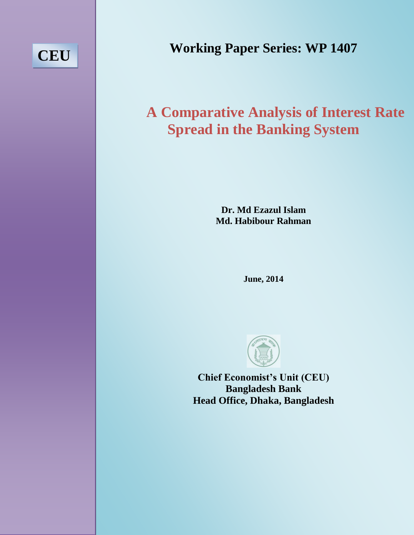# **CEU**

**Working Paper Series: WP 1407**

## **A Comparative Analysis of Interest Rate Spread in the Banking System**

**Dr. Md Ezazul Islam Md. Habibour Rahman**

**June, 2014**



**Chief Economist's Unit (CEU) Bangladesh Bank Head Office, Dhaka, Bangladesh**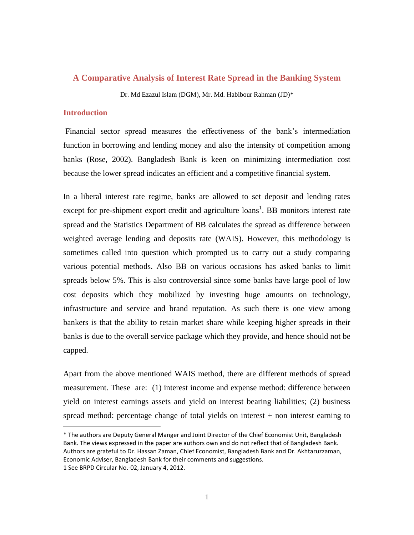#### **A Comparative Analysis of Interest Rate Spread in the Banking System**

Dr. Md Ezazul Islam (DGM), Mr. Md. Habibour Rahman (JD)\*

#### **Introduction**

 $\overline{a}$ 

Financial sector spread measures the effectiveness of the bank's intermediation function in borrowing and lending money and also the intensity of competition among banks (Rose, 2002). Bangladesh Bank is keen on minimizing intermediation cost because the lower spread indicates an efficient and a competitive financial system.

In a liberal interest rate regime, banks are allowed to set deposit and lending rates except for pre-shipment export credit and agriculture  $\{$ loans<sup>1</sup>. BB monitors interest rate spread and the Statistics Department of BB calculates the spread as difference between weighted average lending and deposits rate (WAIS). However, this methodology is sometimes called into question which prompted us to carry out a study comparing various potential methods. Also BB on various occasions has asked banks to limit spreads below 5%. This is also controversial since some banks have large pool of low cost deposits which they mobilized by investing huge amounts on technology, infrastructure and service and brand reputation. As such there is one view among bankers is that the ability to retain market share while keeping higher spreads in their banks is due to the overall service package which they provide, and hence should not be capped.

Apart from the above mentioned WAIS method, there are different methods of spread measurement. These are: (1) interest income and expense method: difference between yield on interest earnings assets and yield on interest bearing liabilities; (2) business spread method: percentage change of total yields on interest  $+$  non interest earning to

<sup>\*</sup> The authors are Deputy General Manger and Joint Director of the Chief Economist Unit, Bangladesh Bank. The views expressed in the paper are authors own and do not reflect that of Bangladesh Bank. Authors are grateful to Dr. Hassan Zaman, Chief Economist, Bangladesh Bank and Dr. Akhtaruzzaman, Economic Adviser, Bangladesh Bank for their comments and suggestions. 1 See BRPD Circular No.-02, January 4, 2012.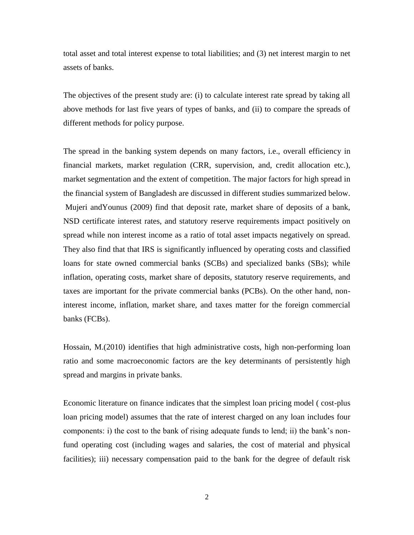total asset and total interest expense to total liabilities; and (3) net interest margin to net assets of banks.

The objectives of the present study are: (i) to calculate interest rate spread by taking all above methods for last five years of types of banks, and (ii) to compare the spreads of different methods for policy purpose.

The spread in the banking system depends on many factors, i.e., overall efficiency in financial markets, market regulation (CRR, supervision, and, credit allocation etc.), market segmentation and the extent of competition. The major factors for high spread in the financial system of Bangladesh are discussed in different studies summarized below. Mujeri andYounus (2009) find that deposit rate, market share of deposits of a bank, NSD certificate interest rates, and statutory reserve requirements impact positively on spread while non interest income as a ratio of total asset impacts negatively on spread. They also find that that IRS is significantly influenced by operating costs and classified loans for state owned commercial banks (SCBs) and specialized banks (SBs); while inflation, operating costs, market share of deposits, statutory reserve requirements, and taxes are important for the private commercial banks (PCBs). On the other hand, noninterest income, inflation, market share, and taxes matter for the foreign commercial banks (FCBs).

Hossain, M.(2010) identifies that high administrative costs, high non-performing loan ratio and some macroeconomic factors are the key determinants of persistently high spread and margins in private banks.

Economic literature on finance indicates that the simplest loan pricing model ( cost-plus loan pricing model) assumes that the rate of interest charged on any loan includes four components: i) the cost to the bank of rising adequate funds to lend; ii) the bank's nonfund operating cost (including wages and salaries, the cost of material and physical facilities); iii) necessary compensation paid to the bank for the degree of default risk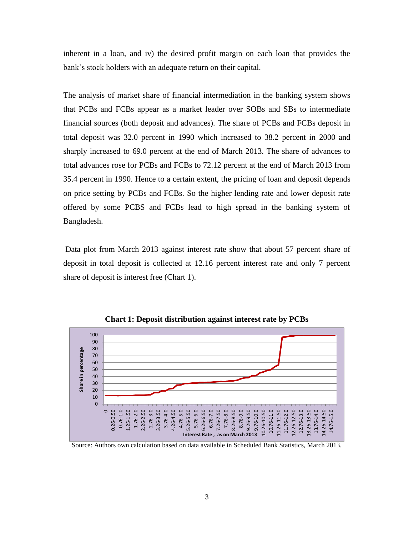inherent in a loan, and iv) the desired profit margin on each loan that provides the bank's stock holders with an adequate return on their capital.

The analysis of market share of financial intermediation in the banking system shows that PCBs and FCBs appear as a market leader over SOBs and SBs to intermediate financial sources (both deposit and advances). The share of PCBs and FCBs deposit in total deposit was 32.0 percent in 1990 which increased to 38.2 percent in 2000 and sharply increased to 69.0 percent at the end of March 2013. The share of advances to total advances rose for PCBs and FCBs to 72.12 percent at the end of March 2013 from 35.4 percent in 1990. Hence to a certain extent, the pricing of loan and deposit depends on price setting by PCBs and FCBs. So the higher lending rate and lower deposit rate offered by some PCBS and FCBs lead to high spread in the banking system of Bangladesh.

Data plot from March 2013 against interest rate show that about 57 percent share of deposit in total deposit is collected at 12.16 percent interest rate and only 7 percent share of deposit is interest free (Chart 1).



**Chart 1: Deposit distribution against interest rate by PCBs**

Source: Authors own calculation based on data available in Scheduled Bank Statistics, March 2013.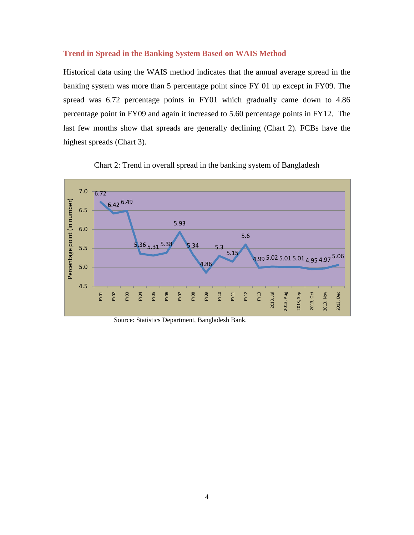#### **Trend in Spread in the Banking System Based on WAIS Method**

Historical data using the WAIS method indicates that the annual average spread in the banking system was more than 5 percentage point since FY 01 up except in FY09. The spread was 6.72 percentage points in FY01 which gradually came down to 4.86 percentage point in FY09 and again it increased to 5.60 percentage points in FY12. The last few months show that spreads are generally declining (Chart 2). FCBs have the highest spreads (Chart 3).



Chart 2: Trend in overall spread in the banking system of Bangladesh

Source: Statistics Department, Bangladesh Bank.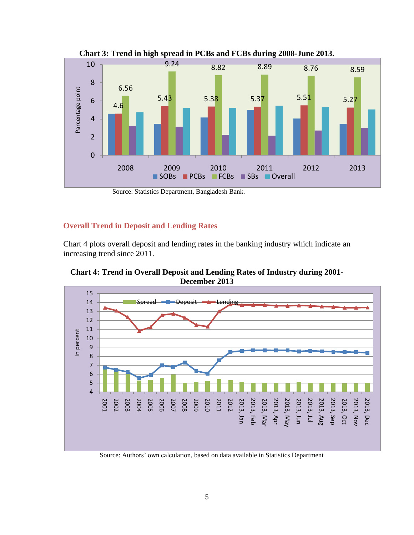

**Chart 3: Trend in high spread in PCBs and FCBs during 2008-June 2013.**

Source: Statistics Department, Bangladesh Bank.

#### **Overall Trend in Deposit and Lending Rates**

Chart 4 plots overall deposit and lending rates in the banking industry which indicate an increasing trend since 2011.

**Chart 4: Trend in Overall Deposit and Lending Rates of Industry during 2001- December 2013**



Source: Authors' own calculation, based on data available in Statistics Department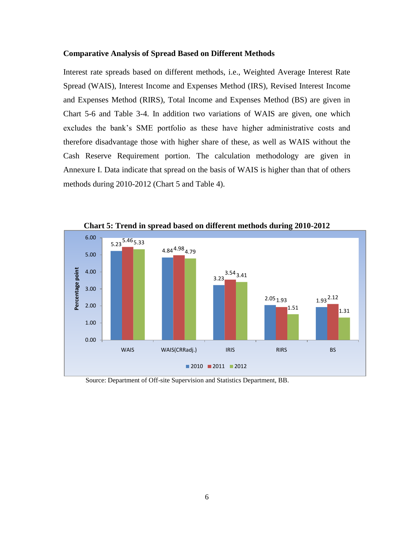#### **Comparative Analysis of Spread Based on Different Methods**

Interest rate spreads based on different methods, i.e., Weighted Average Interest Rate Spread (WAIS), Interest Income and Expenses Method (IRS), Revised Interest Income and Expenses Method (RIRS), Total Income and Expenses Method (BS) are given in Chart 5-6 and Table 3-4. In addition two variations of WAIS are given, one which excludes the bank's SME portfolio as these have higher administrative costs and therefore disadvantage those with higher share of these, as well as WAIS without the Cash Reserve Requirement portion. The calculation methodology are given in Annexure I. Data indicate that spread on the basis of WAIS is higher than that of others methods during 2010-2012 (Chart 5 and Table 4).



**Chart 5: Trend in spread based on different methods during 2010-2012**

Source: Department of Off-site Supervision and Statistics Department, BB.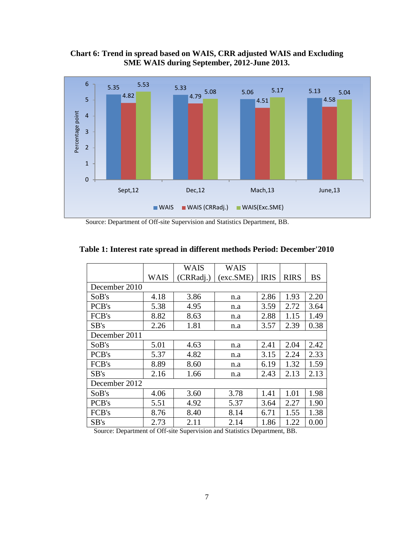**Chart 6: Trend in spread based on WAIS, CRR adjusted WAIS and Excluding SME WAIS during September, 2012-June 2013.**



Source: Department of Off-site Supervision and Statistics Department, BB.

|               |      | WAIS      | WAIS      |             |             |           |  |  |  |
|---------------|------|-----------|-----------|-------------|-------------|-----------|--|--|--|
|               | WAIS | (CRRadj.) | (exc.SME) | <b>IRIS</b> | <b>RIRS</b> | <b>BS</b> |  |  |  |
| December 2010 |      |           |           |             |             |           |  |  |  |
| SoB's         | 4.18 | 3.86      | n.a       | 2.86        | 1.93        | 2.20      |  |  |  |
| PCB's         | 5.38 | 4.95      | n.a       | 3.59        | 2.72        | 3.64      |  |  |  |
| FCB's         | 8.82 | 8.63      | n.a       | 2.88        | 1.15        | 1.49      |  |  |  |
| SB's          | 2.26 | 1.81      | n.a       | 3.57        | 2.39        | 0.38      |  |  |  |
| December 2011 |      |           |           |             |             |           |  |  |  |
| SoB's         | 5.01 | 4.63      | n.a       | 2.41        | 2.04        | 2.42      |  |  |  |
| PCB's         | 5.37 | 4.82      | n.a       | 3.15        | 2.24        | 2.33      |  |  |  |
| FCB's         | 8.89 | 8.60      | n.a       | 6.19        | 1.32        | 1.59      |  |  |  |
| SB's          | 2.16 | 1.66      | n.a       | 2.43        | 2.13        | 2.13      |  |  |  |
| December 2012 |      |           |           |             |             |           |  |  |  |
| SoB's         | 4.06 | 3.60      | 3.78      | 1.41        | 1.01        | 1.98      |  |  |  |
| PCB's         | 5.51 | 4.92      | 5.37      | 3.64        | 2.27        | 1.90      |  |  |  |
| FCB's         | 8.76 | 8.40      | 8.14      | 6.71        | 1.55        | 1.38      |  |  |  |
| SB's          | 2.73 | 2.11      | 2.14      | 1.86        | 1.22        | 0.00      |  |  |  |

#### **Table 1: Interest rate spread in different methods Period: December'2010**

Source: Department of Off-site Supervision and Statistics Department, BB.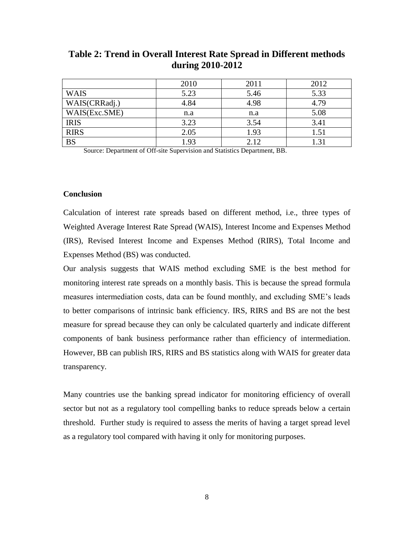|               | 2010 | 2011 | 2012 |
|---------------|------|------|------|
| <b>WAIS</b>   | 5.23 | 5.46 | 5.33 |
| WAIS(CRRadj.) | 4.84 | 4.98 | 4.79 |
| WAIS(Exc.SME) | n.a  | n.a  | 5.08 |
| <b>IRIS</b>   | 3.23 | 3.54 | 3.41 |
| <b>RIRS</b>   | 2.05 | 1.93 | 1.51 |
| <b>BS</b>     | 1.93 | 2.12 | .31  |

### **Table 2: Trend in Overall Interest Rate Spread in Different methods during 2010-2012**

Source: Department of Off-site Supervision and Statistics Department, BB.

#### **Conclusion**

Calculation of interest rate spreads based on different method, i.e., three types of Weighted Average Interest Rate Spread (WAIS), Interest Income and Expenses Method (IRS), Revised Interest Income and Expenses Method (RIRS), Total Income and Expenses Method (BS) was conducted.

Our analysis suggests that WAIS method excluding SME is the best method for monitoring interest rate spreads on a monthly basis. This is because the spread formula measures intermediation costs, data can be found monthly, and excluding SME's leads to better comparisons of intrinsic bank efficiency. IRS, RIRS and BS are not the best measure for spread because they can only be calculated quarterly and indicate different components of bank business performance rather than efficiency of intermediation. However, BB can publish IRS, RIRS and BS statistics along with WAIS for greater data transparency.

Many countries use the banking spread indicator for monitoring efficiency of overall sector but not as a regulatory tool compelling banks to reduce spreads below a certain threshold. Further study is required to assess the merits of having a target spread level as a regulatory tool compared with having it only for monitoring purposes.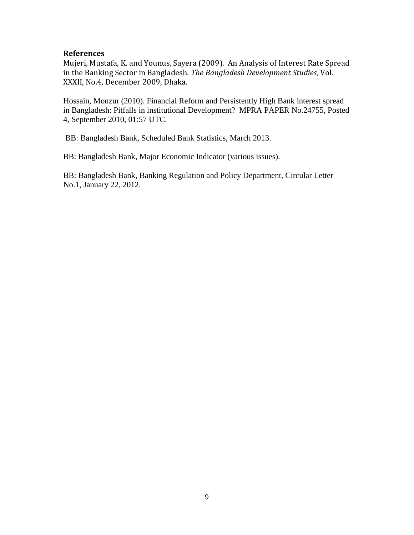#### **References**

Mujeri, Mustafa, K. and Younus, Sayera (2009). An Analysis of Interest Rate Spread in the Banking Sector in Bangladesh. *The Bangladesh Development Studies*, Vol. XXXII, No.4, December 2009, Dhaka.

Hossain, Monzur (2010). Financial Reform and Persistently High Bank interest spread in Bangladesh: Pitfalls in institutional Development? MPRA PAPER No.24755, Posted 4, September 2010, 01:57 UTC.

BB: Bangladesh Bank, Scheduled Bank Statistics, March 2013.

BB: Bangladesh Bank, Major Economic Indicator (various issues).

BB: Bangladesh Bank, Banking Regulation and Policy Department, Circular Letter No.1, January 22, 2012.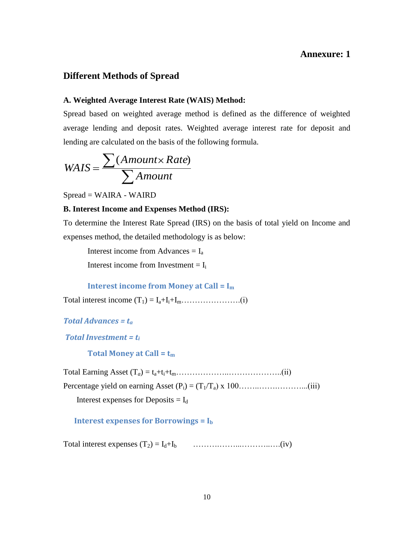#### **Annexure: 1**

#### **Different Methods of Spread**

#### **A. Weighted Average Interest Rate (WAIS) Method:**

Spread based on weighted average method is defined as the difference of weighted average lending and deposit rates. Weighted average interest rate for deposit and lending are calculated on the basis of the following formula.

$$
WAS = \frac{\sum (Amount \times Rate)}{\sum Amount}
$$

Spread = WAIRA - WAIRD

#### **B. Interest Income and Expenses Method (IRS):**

To determine the Interest Rate Spread (IRS) on the basis of total yield on Income and expenses method, the detailed methodology is as below:

Interest income from Advances  $= I_a$ Interest income from Investment  $= I_i$ 

#### **Interest income from Money at Call = I<sup>m</sup>**

Total interest income (T1) = Ia+Ii+Im………………….(i)

```
Total Advances = ta
```
*Total Investment = t<sup>i</sup>*

 **Total Money at Call = t<sup>m</sup>**

Total Earning Asset (T*a*) = ta+ti+tm………………..………………..(ii)

Percentage yield on earning Asset (Pi) = (T1/Ta) x 100……..…….………...(iii)

Interest expenses for Deposits  $= I_d$ 

#### **Interest expenses for Borrowings = I<sup>b</sup>**

Total interest expenses (T2) = Id+Ib ……….……...………..….(iv)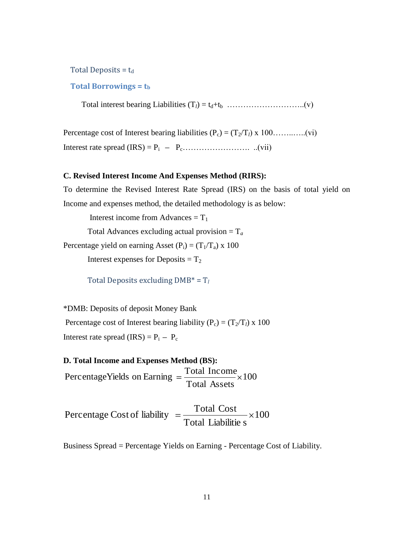Total Deposits =  $t_d$ 

#### **Total Borrowings = t<sup>b</sup>**

Total interest bearing Liabilities (T*l*) = td+tb ………………………..(v)

Percentage cost of Interest bearing liabilities  $(P_c) = (T_2/T_l) \times 100$ …………...(vi) Interest rate spread (IRS) = Pi Pc……………………. ..(vii)

#### **C. Revised Interest Income And Expenses Method (RIRS):**

To determine the Revised Interest Rate Spread (IRS) on the basis of total yield on Income and expenses method, the detailed methodology is as below:

Interest income from Advances  $= T_1$ 

Total Advances excluding actual provision = T*<sup>a</sup>*

Percentage yield on earning Asset  $(P_i) = (T_1/T_a) \times 100$ 

Interest expenses for Deposits  $= T_2$ 

Total Deposits excluding DMB\* = T*<sup>l</sup>*

\*DMB: Deposits of deposit Money Bank Percentage cost of Interest bearing liability  $(P_c) = (T_2/T_l) \times 100$ Interest rate spread  $(IRS) = P_i - P_c$ 

# **D. Total Income and Expenses Method (BS):**

100 Total Assets PercentageYields on Earning  $=$   $\frac{\text{Total Income}}{\text{Total Assets}} \times 100$ <br>Percentage Cost of liability  $=$   $\frac{\text{Total Cost}}{\text{Total Cost}} \times 100$ 

Total Liabilitie s Percentage Cost of liability  $=$   $\frac{\text{Total Cost}}{\text{Total Cost}}$ 

Business Spread = Percentage Yields on Earning - Percentage Cost of Liability.